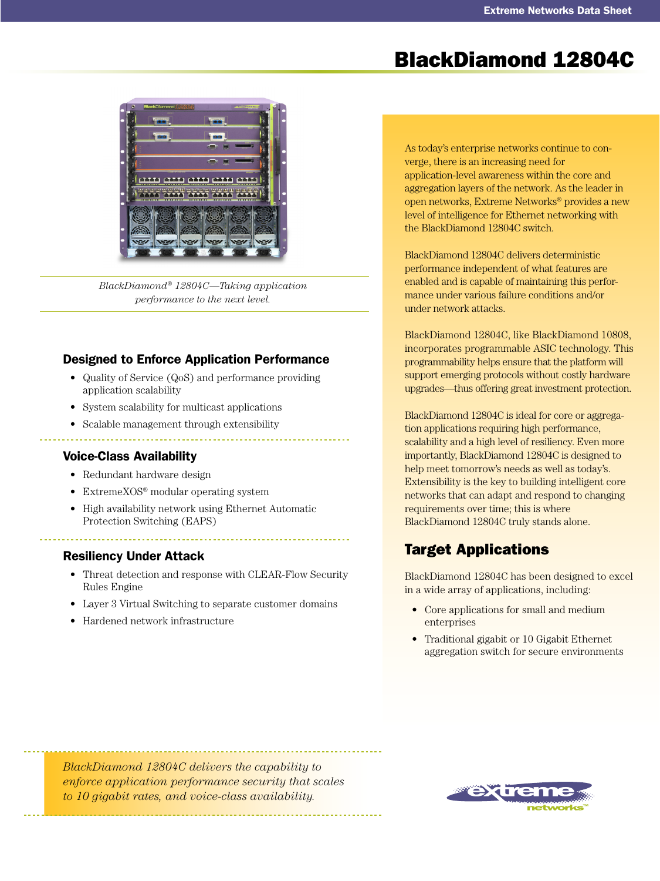# BlackDiamond 12804C



*BlackDiamond® 12804C—Taking application performance to the next level.*

### Designed to Enforce Application Performance

- Quality of Service (QoS) and performance providing application scalability
- System scalability for multicast applications
- Scalable management through extensibility

### Voice-Class Availability

- Redundant hardware design
- ExtremeXOS<sup>®</sup> modular operating system
- High availability network using Ethernet Automatic Protection Switching (EAPS)

### Resiliency Under Attack

- Threat detection and response with CLEAR-Flow Security Rules Engine
- Layer 3 Virtual Switching to separate customer domains
- Hardened network infrastructure

As today's enterprise networks continue to converge, there is an increasing need for application-level awareness within the core and aggregation layers of the network. As the leader in open networks, Extreme Networks® provides a new level of intelligence for Ethernet networking with the BlackDiamond 12804C switch.

BlackDiamond 12804C delivers deterministic performance independent of what features are enabled and is capable of maintaining this performance under various failure conditions and/or under network attacks.

BlackDiamond 12804C, like BlackDiamond 10808, incorporates programmable ASIC technology. This programmability helps ensure that the platform will support emerging protocols without costly hardware upgrades—thus offering great investment protection.

BlackDiamond 12804C is ideal for core or aggregation applications requiring high performance, scalability and a high level of resiliency. Even more importantly, BlackDiamond 12804C is designed to help meet tomorrow's needs as well as today's. Extensibility is the key to building intelligent core networks that can adapt and respond to changing requirements over time; this is where BlackDiamond 12804C truly stands alone.

## Target Applications

BlackDiamond 12804C has been designed to excel in a wide array of applications, including:

- Core applications for small and medium enterprises
- Traditional gigabit or 10 Gigabit Ethernet aggregation switch for secure environments

*BlackDiamond 12804C delivers the capability to enforce application performance security that scales to 10 gigabit rates, and voice-class availability.*

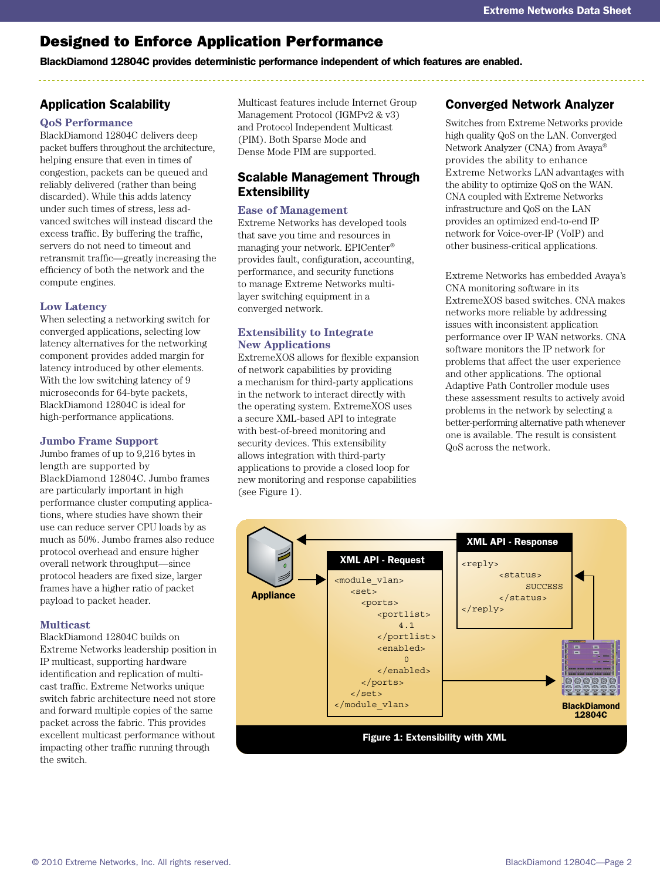# Designed to Enforce Application Performance

BlackDiamond 12804C provides deterministic performance independent of which features are enabled.

## Application Scalability

### **QoS Performance**

BlackDiamond 12804C delivers deep packet buffers throughout the architecture, helping ensure that even in times of congestion, packets can be queued and reliably delivered (rather than being discarded). While this adds latency under such times of stress, less advanced switches will instead discard the excess traffic. By buffering the traffic, servers do not need to timeout and retransmit traffic––greatly increasing the efficiency of both the network and the compute engines.

#### **Low Latency**

When selecting a networking switch for converged applications, selecting low latency alternatives for the networking component provides added margin for latency introduced by other elements. With the low switching latency of 9 microseconds for 64-byte packets, BlackDiamond 12804C is ideal for high-performance applications.

#### **Jumbo Frame Support**

Jumbo frames of up to 9,216 bytes in length are supported by BlackDiamond 12804C. Jumbo frames are particularly important in high performance cluster computing applications, where studies have shown their use can reduce server CPU loads by as much as 50%. Jumbo frames also reduce protocol overhead and ensure higher overall network throughput—since protocol headers are fixed size, larger frames have a higher ratio of packet payload to packet header.

#### **Multicast**

BlackDiamond 12804C builds on Extreme Networks leadership position in IP multicast, supporting hardware identification and replication of multicast traffic. Extreme Networks unique switch fabric architecture need not store and forward multiple copies of the same packet across the fabric. This provides excellent multicast performance without impacting other traffic running through the switch.

Multicast features include Internet Group Management Protocol (IGMPv2 & v3) and Protocol Independent Multicast (PIM). Both Sparse Mode and Dense Mode PIM are supported.

### Scalable Management Through **Extensibility**

#### **Ease of Management**

Extreme Networks has developed tools that save you time and resources in managing your network. EPICenter® provides fault, configuration, accounting, performance, and security functions to manage Extreme Networks multilayer switching equipment in a converged network.

#### **Extensibility to Integrate New Applications**

ExtremeXOS allows for flexible expansion of network capabilities by providing a mechanism for third-party applications in the network to interact directly with the operating system. ExtremeXOS uses a secure XML-based API to integrate with best-of-breed monitoring and security devices. This extensibility allows integration with third-party applications to provide a closed loop for new monitoring and response capabilities (see Figure 1).

## Converged Network Analyzer

Switches from Extreme Networks provide high quality QoS on the LAN. Converged Network Analyzer (CNA) from Avaya® provides the ability to enhance Extreme Networks LAN advantages with the ability to optimize QoS on the WAN. CNA coupled with Extreme Networks infrastructure and QoS on the LAN provides an optimized end-to-end IP network for Voice-over-IP (VoIP) and other business-critical applications.

Extreme Networks has embedded Avaya's CNA monitoring software in its ExtremeXOS based switches. CNA makes networks more reliable by addressing issues with inconsistent application performance over IP WAN networks. CNA software monitors the IP network for problems that affect the user experience and other applications. The optional Adaptive Path Controller module uses these assessment results to actively avoid problems in the network by selecting a better-performing alternative path whenever one is available. The result is consistent QoS across the network.

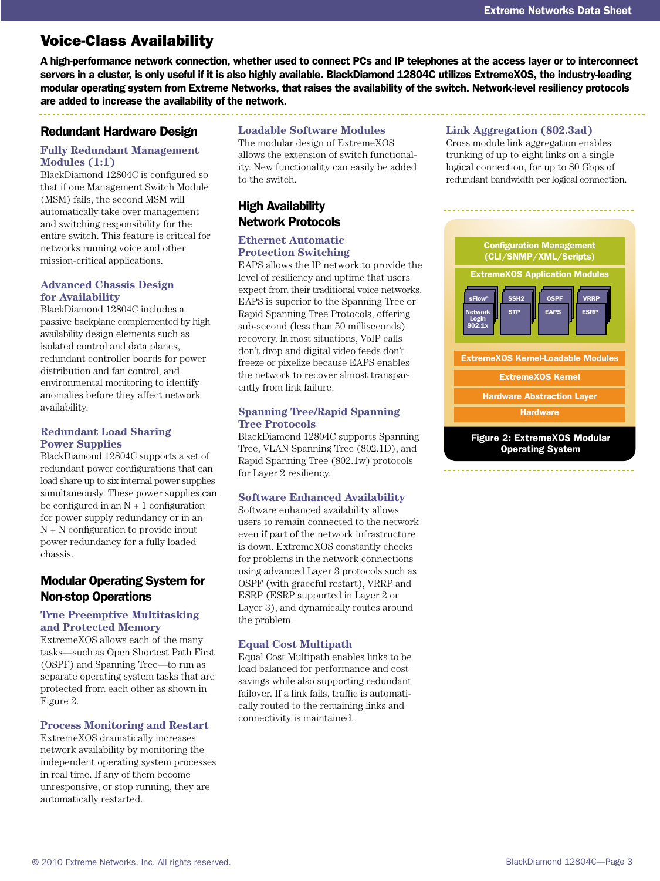## Voice-Class Availability

A high-performance network connection, whether used to connect PCs and IP telephones at the access layer or to interconnect servers in a cluster, is only useful if it is also highly available. BlackDiamond 12804C utilizes ExtremeXOS, the industry-leading modular operating system from Extreme Networks, that raises the availability of the switch. Network-level resiliency protocols are added to increase the availability of the network.

### Redundant Hardware Design

#### **Fully Redundant Management Modules (1:1)**

BlackDiamond 12804C is configured so that if one Management Switch Module (MSM) fails, the second MSM will automatically take over management and switching responsibility for the entire switch. This feature is critical for networks running voice and other mission-critical applications.

#### **Advanced Chassis Design for Availability**

BlackDiamond 12804C includes a passive backplane complemented by high availability design elements such as isolated control and data planes, redundant controller boards for power distribution and fan control, and environmental monitoring to identify anomalies before they affect network availability.

#### **Redundant Load Sharing Power Supplies**

BlackDiamond 12804C supports a set of redundant power configurations that can load share up to six internal power supplies simultaneously. These power supplies can be configured in an  $N + 1$  configuration for power supply redundancy or in an N + N configuration to provide input power redundancy for a fully loaded chassis.

### Modular Operating System for Non-stop Operations

#### **True Preemptive Multitasking and Protected Memory**

ExtremeXOS allows each of the many tasks—such as Open Shortest Path First (OSPF) and Spanning Tree—to run as separate operating system tasks that are protected from each other as shown in Figure 2.

#### **Process Monitoring and Restart**

ExtremeXOS dramatically increases network availability by monitoring the independent operating system processes in real time. If any of them become unresponsive, or stop running, they are automatically restarted.

#### **Loadable Software Modules**

The modular design of ExtremeXOS allows the extension of switch functionality. New functionality can easily be added to the switch.

## High Availability Network Protocols

#### **Ethernet Automatic Protection Switching**

EAPS allows the IP network to provide the level of resiliency and uptime that users expect from their traditional voice networks. EAPS is superior to the Spanning Tree or Rapid Spanning Tree Protocols, offering sub-second (less than 50 milliseconds) recovery. In most situations, VoIP calls don't drop and digital video feeds don't freeze or pixelize because EAPS enables the network to recover almost transparently from link failure.

#### **Spanning Tree/Rapid Spanning Tree Protocols**

BlackDiamond 12804C supports Spanning Tree, VLAN Spanning Tree (802.1D), and Rapid Spanning Tree (802.1w) protocols for Layer 2 resiliency.

#### **Software Enhanced Availability**

Software enhanced availability allows users to remain connected to the network even if part of the network infrastructure is down. ExtremeXOS constantly checks for problems in the network connections using advanced Layer 3 protocols such as OSPF (with graceful restart), VRRP and ESRP (ESRP supported in Layer 2 or Layer 3), and dynamically routes around the problem.

#### **Equal Cost Multipath**

Equal Cost Multipath enables links to be load balanced for performance and cost savings while also supporting redundant failover. If a link fails, traffic is automatically routed to the remaining links and connectivity is maintained.

#### **Link Aggregation (802.3ad)**

Cross module link aggregation enables trunking of up to eight links on a single logical connection, for up to 80 Gbps of redundant bandwidth per logical connection.

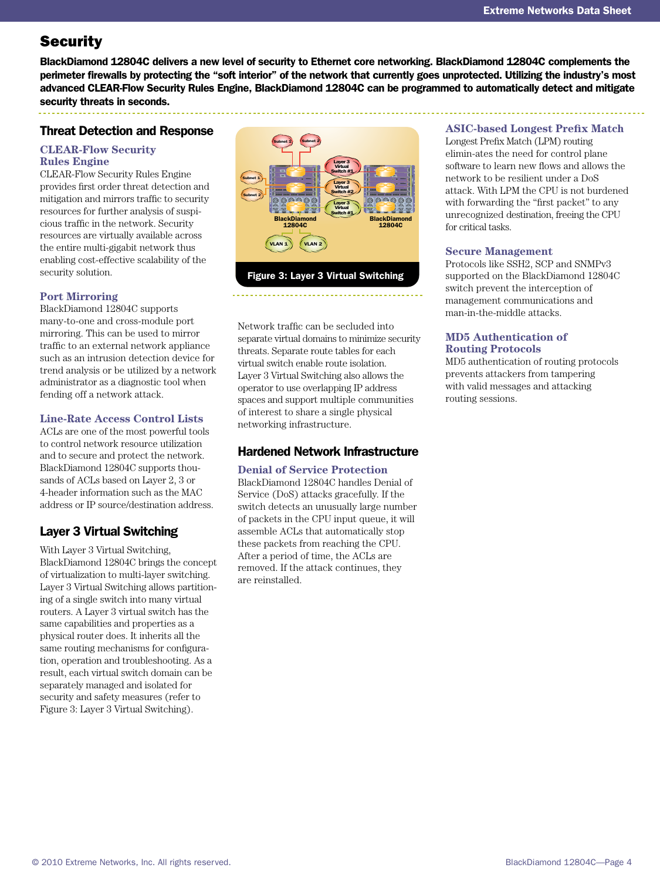# **Security**

BlackDiamond 12804C delivers a new level of security to Ethernet core networking. BlackDiamond 12804C complements the perimeter firewalls by protecting the "soft interior" of the network that currently goes unprotected. Utilizing the industry's most advanced CLEAR-Flow Security Rules Engine, BlackDiamond 12804C can be programmed to automatically detect and mitigate security threats in seconds.

### Threat Detection and Response

#### **CLEAR-Flow Security Rules Engine**

CLEAR-Flow Security Rules Engine provides first order threat detection and mitigation and mirrors traffic to security resources for further analysis of suspicious traffic in the network. Security resources are virtually available across the entire multi-gigabit network thus enabling cost-effective scalability of the security solution.

### **Port Mirroring**

BlackDiamond 12804C supports many-to-one and cross-module port mirroring. This can be used to mirror traffic to an external network appliance such as an intrusion detection device for trend analysis or be utilized by a network administrator as a diagnostic tool when fending off a network attack.

#### **Line-Rate Access Control Lists**

ACLs are one of the most powerful tools to control network resource utilization and to secure and protect the network. BlackDiamond 12804C supports thousands of ACLs based on Layer 2, 3 or 4-header information such as the MAC address or IP source/destination address.

## Layer 3 Virtual Switching

With Layer 3 Virtual Switching, BlackDiamond 12804C brings the concept of virtualization to multi-layer switching. Layer 3 Virtual Switching allows partitioning of a single switch into many virtual routers. A Layer 3 virtual switch has the same capabilities and properties as a physical router does. It inherits all the same routing mechanisms for configuration, operation and troubleshooting. As a result, each virtual switch domain can be separately managed and isolated for security and safety measures (refer to Figure 3: Layer 3 Virtual Switching).



Network traffic can be secluded into separate virtual domains to minimize security threats. Separate route tables for each virtual switch enable route isolation. Layer 3 Virtual Switching also allows the operator to use overlapping IP address spaces and support multiple communities of interest to share a single physical networking infrastructure.

### Hardened Network Infrastructure

#### **Denial of Service Protection**

BlackDiamond 12804C handles Denial of Service (DoS) attacks gracefully. If the switch detects an unusually large number of packets in the CPU input queue, it will assemble ACLs that automatically stop these packets from reaching the CPU. After a period of time, the ACLs are removed. If the attack continues, they are reinstalled.

#### **ASIC-based Longest Prefix Match**

Longest Prefix Match (LPM) routing elimin-ates the need for control plane software to learn new flows and allows the network to be resilient under a DoS attack. With LPM the CPU is not burdened with forwarding the "first packet" to any unrecognized destination, freeing the CPU for critical tasks.

#### **Secure Management**

Protocols like SSH2, SCP and SNMPv3 supported on the BlackDiamond 12804C switch prevent the interception of management communications and man-in-the-middle attacks.

#### **MD5 Authentication of Routing Protocols**

MD5 authentication of routing protocols prevents attackers from tampering with valid messages and attacking routing sessions.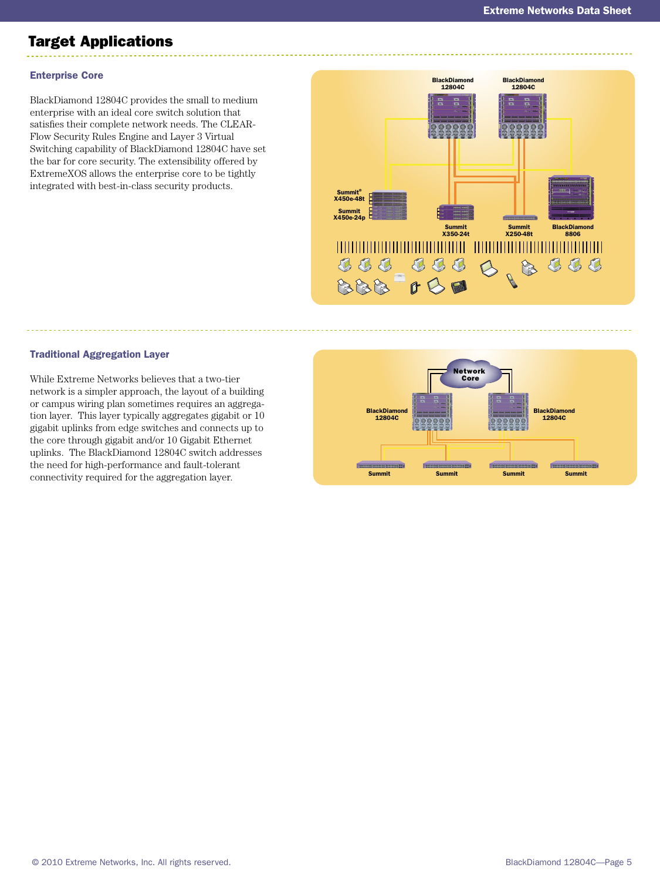# Target Applications

### Enterprise Core

BlackDiamond 12804C provides the small to medium enterprise with an ideal core switch solution that satisfies their complete network needs. The CLEAR-Flow Security Rules Engine and Layer 3 Virtual Switching capability of BlackDiamond 12804C have set the bar for core security. The extensibility offered by ExtremeXOS allows the enterprise core to be tightly integrated with best-in-class security products.



#### Traditional Aggregation Layer

While Extreme Networks believes that a two-tier network is a simpler approach, the layout of a building or campus wiring plan sometimes requires an aggregation layer. This layer typically aggregates gigabit or 10 gigabit uplinks from edge switches and connects up to the core through gigabit and/or 10 Gigabit Ethernet uplinks. The BlackDiamond 12804C switch addresses the need for high-performance and fault-tolerant connectivity required for the aggregation layer.

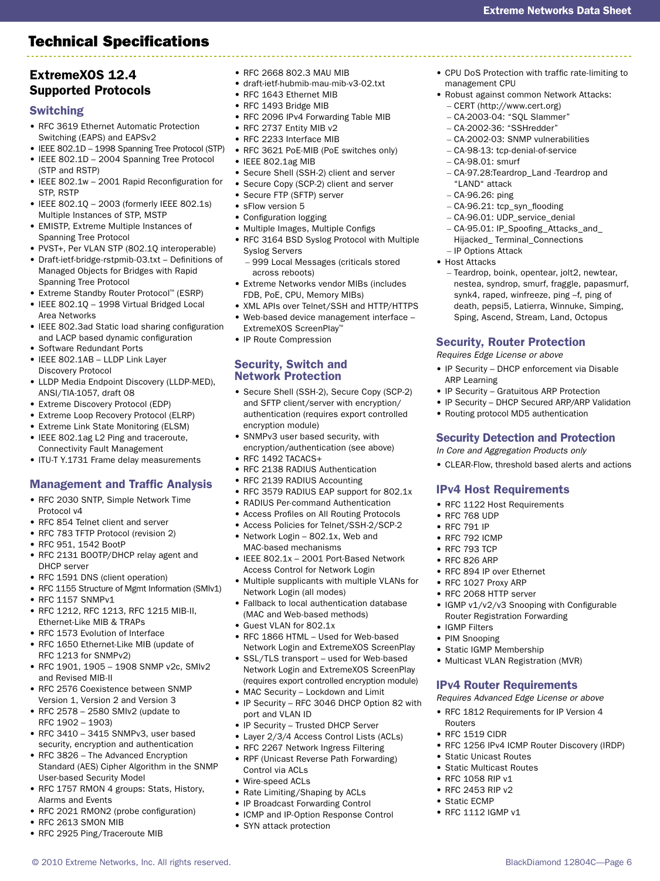## Technical Specifications

BlackDiamond 12804C—Page 6

## ExtremeXOS 12.4 Supported Protocols

### Switching

- RFC 3619 Ethernet Automatic Protection Switching (EAPS) and EAPSv2
- IEEE 802.1D 1998 Spanning Tree Protocol (STP)
- IEEE 802.1D 2004 Spanning Tree Protocol (STP and RSTP)
- IEEE 802.1w 2001 Rapid Reconfiguration for STP, RSTP
- IEEE 802.1Q 2003 (formerly IEEE 802.1s) Multiple Instances of STP, MSTP
- EMISTP, Extreme Multiple Instances of Spanning Tree Protocol
- PVST+, Per VLAN STP (802.1Q interoperable)
- Draft-ietf-bridge-rstpmib-03.txt Definitions of Managed Objects for Bridges with Rapid Spanning Tree Protocol
- Extreme Standby Router Protocol™ (ESRP)
- IEEE 802.1Q 1998 Virtual Bridged Local
- Area Networks • IEEE 802.3ad Static load sharing configuration and LACP based dynamic configuration
- Software Redundant Ports
- IEEE 802.1AB LLDP Link Layer Discovery Protocol
- LLDP Media Endpoint Discovery (LLDP-MED), ANSI/TIA-1057, draft 08
- Extreme Discovery Protocol (EDP)
- Extreme Loop Recovery Protocol (ELRP)
- Extreme Link State Monitoring (ELSM)
- IEEE 802.1ag L2 Ping and traceroute, Connectivity Fault Management
- ITU-T Y.1731 Frame delay measurements

## Management and Traffic Analysis

- RFC 2030 SNTP, Simple Network Time Protocol v4
- RFC 854 Telnet client and server
- RFC 783 TFTP Protocol (revision 2)
- RFC 951, 1542 BootP
- RFC 2131 BOOTP/DHCP relay agent and DHCP server
- RFC 1591 DNS (client operation)
- RFC 1155 Structure of Mgmt Information (SMIv1)
- RFC 1157 SNMPv1
- RFC 1212, RFC 1213, RFC 1215 MIB-II, Ethernet-Like MIB & TRAPs
- RFC 1573 Evolution of Interface
- RFC 1650 Ethernet-Like MIB (update of RFC 1213 for SNMPv2)
- RFC 1901, 1905 1908 SNMP v2c, SMIv2 and Revised MIB-II
- RFC 2576 Coexistence between SNMP Version 1, Version 2 and Version 3
- RFC 2578 2580 SMIv2 (update to RFC 1902 – 1903)
- RFC 3410 3415 SNMPv3, user based security, encryption and authentication
- RFC 3826 The Advanced Encryption Standard (AES) Cipher Algorithm in the SNMP
- User-based Security Model • RFC 1757 RMON 4 groups: Stats, History, Alarms and Events

© 2010 Extreme Networks, Inc. All rights reserved.

- RFC 2021 RMON2 (probe configuration)
- RFC 2613 SMON MIB
- 
- RFC 2925 Ping/Traceroute MIB
- RFC 2668 802.3 MAU MIB
- draft-ietf-hubmib-mau-mib-v3-02.txt
- RFC 1643 Ethernet MIB
- RFC 1493 Bridge MIB
- RFC 2096 IPv4 Forwarding Table MIB
- RFC 2737 Entity MIB v2
- RFC 2233 Interface MIB
- RFC 3621 PoE-MIB (PoE switches only)
- IEEE 802.1ag MIB
- Secure Shell (SSH-2) client and server
- Secure Copy (SCP-2) client and server
- Secure FTP (SFTP) server
- sFlow version 5
- Configuration logging • Multiple Images, Multiple Configs
- RFC 3164 BSD Syslog Protocol with Multiple Syslog Servers
	- 999 Local Messages (criticals stored across reboots)
- Extreme Networks vendor MIBs (includes FDB, PoE, CPU, Memory MIBs)
- XML APIs over Telnet/SSH and HTTP/HTTPS • Web-based device management interface –
- ExtremeXOS ScreenPlay™
- IP Route Compression

### Security, Switch and Network Protection

- Secure Shell (SSH-2), Secure Copy (SCP-2) and SFTP client/server with encryption/ authentication (requires export controlled encryption module)
- SNMPv3 user based security, with encryption/authentication (see above)
- RFC 1492 TACACS+
- RFC 2138 RADIUS Authentication
- RFC 2139 RADIUS Accounting
- RFC 3579 RADIUS EAP support for 802.1x
- RADIUS Per-command Authentication
- Access Profiles on All Routing Protocols
- Access Policies for Telnet/SSH-2/SCP-2
- Network Login 802.1x, Web and MAC-based mechanisms
- IEEE 802.1x 2001 Port-Based Network Access Control for Network Login
- Multiple supplicants with multiple VLANs for Network Login (all modes)
- Fallback to local authentication database (MAC and Web-based methods)
- Guest VLAN for 802.1x
- RFC 1866 HTML Used for Web-based Network Login and ExtremeXOS ScreenPlay
- SSL/TLS transport used for Web-based Network Login and ExtremeXOS ScreenPlay (requires export controlled encryption module)
- MAC Security Lockdown and Limit
- IP Security RFC 3046 DHCP Option 82 with port and VLAN ID
- IP Security Trusted DHCP Server
- Layer 2/3/4 Access Control Lists (ACLs)
- RFC 2267 Network Ingress Filtering
- RPF (Unicast Reverse Path Forwarding) Control via ACLs
- Wire-speed ACLs
- Rate Limiting/Shaping by ACLs
- IP Broadcast Forwarding Control
- ICMP and IP-Option Response Control
- SYN attack protection
- CPU DoS Protection with traffic rate-limiting to management CPU
- Robust against common Network Attacks:
	- CERT (http://www.cert.org)
	- CA-2003-04: "SQL Slammer"
	- CA-2002-36: "SSHredder"
	- CA-2002-03: SNMP vulnerabilities

– CA-97.28:Teardrop\_Land -Teardrop and

– Teardrop, boink, opentear, jolt2, newtear, nestea, syndrop, smurf, fraggle, papasmurf, synk4, raped, winfreeze, ping –f, ping of death, pepsi5, Latierra, Winnuke, Simping, Sping, Ascend, Stream, Land, Octopus

– CA-98-13: tcp-denial-of-service – CA-98.01: smurf

– CA-96.21: tcp\_syn\_flooding – CA-96.01: UDP\_service\_denial – CA-95.01: IP\_Spoofing\_Attacks\_and\_ Hijacked\_ Terminal\_Connections

Security, Router Protection *Requires Edge License or above*

• IP Security – DHCP enforcement via Disable

Security Detection and Protection *In Core and Aggregation Products only*

• IGMP v1/v2/v3 Snooping with Configurable

• RFC 1256 IPv4 ICMP Router Discovery (IRDP)

Router Registration Forwarding

IPv4 Router Requirements *Requires Advanced Edge License or above* • RFC 1812 Requirements for IP Version 4

• CLEAR-Flow, threshold based alerts and actions

• IP Security – Gratuitous ARP Protection • IP Security – DHCP Secured ARP/ARP Validation

• Routing protocol MD5 authentication

IPv4 Host Requirements • RFC 1122 Host Requirements

• RFC 894 IP over Ethernet • RFC 1027 Proxy ARP • RFC 2068 HTTP server

• Static IGMP Membership • Multicast VLAN Registration (MVR)

• Static Unicast Routes • Static Multicast Routes • RFC 1058 RIP v1 • RFC 2453 RIP v2 • Static ECMP • RFC 1112 IGMP v1

"LAND" attack – CA-96.26: ping

– IP Options Attack • Host Attacks

ARP Learning

• RFC 768 UDP • RFC 791 IP • RFC 792 ICMP • RFC 793 TCP • RFC 826 ARP

• IGMP Filters • PIM Snooping

Routers • RFC 1519 CIDR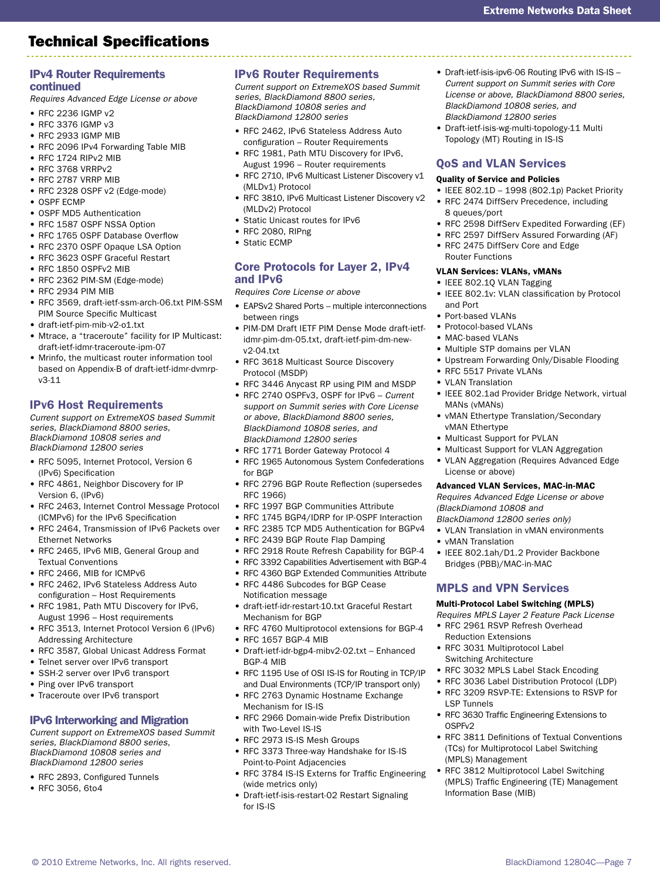#### continued

#### *Requires Advanced Edge License or above*

- RFC 2236 IGMP v2
- RFC 3376 IGMP v3
- RFC 2933 IGMP MIB
- RFC 2096 IPv4 Forwarding Table MIB
- RFC 1724 RIPv2 MIB
- RFC 3768 VRRPv2
- RFC 2787 VRRP MIB
- RFC 2328 OSPF v2 (Edge-mode)
- OSPF ECMP
- OSPF MD5 Authentication
- RFC 1587 OSPF NSSA Option
- RFC 1765 OSPF Database Overflow
- RFC 2370 OSPF Opaque LSA Option
- RFC 3623 OSPF Graceful Restart
- RFC 1850 OSPFv2 MIB
- RFC 2362 PIM-SM (Edge-mode)
- RFC 2934 PIM MIB
- RFC 3569, draft-ietf-ssm-arch-06.txt PIM-SSM PIM Source Specific Multicast
- draft-ietf-pim-mib-v2-o1.txt
- Mtrace, a "traceroute" facility for IP Multicast: draft-ietf-idmr-traceroute-ipm-07
- Mrinfo, the multicast router information tool based on Appendix-B of draft-ietf-idmr-dvmrpv3-11

#### IPv6 Host Requirements

*Current support on ExtremeXOS based Summit series, BlackDiamond 8800 series, BlackDiamond 10808 series and BlackDiamond 12800 series*

- RFC 5095, Internet Protocol, Version 6 (IPv6) Specification
- RFC 4861, Neighbor Discovery for IP Version 6, (IPv6)
- RFC 2463, Internet Control Message Protocol (ICMPv6) for the IPv6 Specification
- RFC 2464, Transmission of IPv6 Packets over Ethernet Networks
- RFC 2465, IPv6 MIB, General Group and Textual Conventions
- RFC 2466, MIB for ICMPv6
- RFC 2462, IPv6 Stateless Address Auto configuration – Host Requirements
- RFC 1981, Path MTU Discovery for IPv6, August 1996 – Host requirements
- RFC 3513, Internet Protocol Version 6 (IPv6) Addressing Architecture
- RFC 3587, Global Unicast Address Format
- Telnet server over IPv6 transport
- SSH-2 server over IPv6 transport
- Ping over IPv6 transport
- Traceroute over IPv6 transport

#### IPv6 Interworking and Migration

*Current support on ExtremeXOS based Summit series, BlackDiamond 8800 series, BlackDiamond 10808 series and BlackDiamond 12800 series*

© 2010 Extreme Networks, Inc. All rights reserved.

- RFC 2893, Configured Tunnels
- RFC 3056, 6to4

#### IPv6 Router Requirements

*Current support on ExtremeXOS based Summit series, BlackDiamond 8800 series, BlackDiamond 10808 series and BlackDiamond 12800 series*

- RFC 2462, IPv6 Stateless Address Auto configuration – Router Requirements
- RFC 1981, Path MTU Discovery for IPv6, August 1996 – Router requirements
- RFC 2710, IPv6 Multicast Listener Discovery v1 (MLDv1) Protocol
- RFC 3810, IPv6 Multicast Listener Discovery v2 (MLDv2) Protocol
- Static Unicast routes for IPv6
- RFC 2080, RIPng
- Static ECMP

#### Core Protocols for Layer 2, IPv4 and IPv6

*Requires Core License or above*

- EAPSv2 Shared Ports multiple interconnections between rings
- PIM-DM Draft IETF PIM Dense Mode draft-ietfidmr-pim-dm-05.txt, draft-ietf-pim-dm-newv2-04.txt
- RFC 3618 Multicast Source Discovery Protocol (MSDP)
- RFC 3446 Anycast RP using PIM and MSDP
- RFC 2740 OSPFv3, OSPF for IPv6 *Current support on Summit series with Core License or above, BlackDiamond 8800 series, BlackDiamond 10808 series, and BlackDiamond 12800 series*
- RFC 1771 Border Gateway Protocol 4
- RFC 1965 Autonomous System Confederations for BGP
- RFC 2796 BGP Route Reflection (supersedes RFC 1966)
- RFC 1997 BGP Communities Attribute
- RFC 1745 BGP4/IDRP for IP-OSPF Interaction
- RFC 2385 TCP MD5 Authentication for BGPv4
- RFC 2439 BGP Route Flap Damping
- RFC 2918 Route Refresh Capability for BGP-4
- RFC 3392 Capabilities Advertisement with BGP-4
- RFC 4360 BGP Extended Communities Attribute
- RFC 4486 Subcodes for BGP Cease Notification message
- draft-ietf-idr-restart-10.txt Graceful Restart Mechanism for BGP
- RFC 4760 Multiprotocol extensions for BGP-4
- RFC 1657 BGP-4 MIB
- Draft-ietf-idr-bgp4-mibv2-02.txt Enhanced BGP-4 MIB
- RFC 1195 Use of OSI IS-IS for Routing in TCP/IP and Dual Environments (TCP/IP transport only)
- RFC 2763 Dynamic Hostname Exchange Mechanism for IS-IS
- RFC 2966 Domain-wide Prefix Distribution with Two-Level IS-IS
- RFC 2973 IS-IS Mesh Groups
- RFC 3373 Three-way Handshake for IS-IS Point-to-Point Adjacencies
- RFC 3784 IS-IS Externs for Traffic Engineering (wide metrics only)
- Draft-ietf-isis-restart-02 Restart Signaling for IS-IS

• Draft-ietf-isis-ipv6-06 Routing IPv6 with IS-IS – *Current support on Summit series with Core License or above, BlackDiamond 8800 series, BlackDiamond 10808 series, and BlackDiamond 12800 series*

Extreme Networks Data Sheet

• Draft-ietf-isis-wg-multi-topology-11 Multi Topology (MT) Routing in IS-IS

#### QoS and VLAN Services

#### Quality of Service and Policies

- IEEE 802.1D 1998 (802.1p) Packet Priority
- RFC 2474 DiffServ Precedence, including 8 queues/port
- RFC 2598 DiffServ Expedited Forwarding (EF)
- RFC 2597 DiffServ Assured Forwarding (AF)
- RFC 2475 DiffServ Core and Edge Router Functions

#### VLAN Services: VLANs, vMANs

- IEEE 802.1Q VLAN Tagging
- IEEE 802.1v: VLAN classification by Protocol and Port
- Port-based VLANs
- Protocol-based VLANs
- MAC-based VLANs

• VLAN Translation

MANs (vMANs)

vMAN Ethertype

License or above)

• vMAN Translation

*(BlackDiamond 10808 and BlackDiamond 12800 series only)* • VLAN Translation in vMAN environments

Bridges (PBB)/MAC-in-MAC

MPLS and VPN Services Multi-Protocol Label Switching (MPLS) *Requires MPLS Layer 2 Feature Pack License* • RFC 2961 RSVP Refresh Overhead

Reduction Extensions • RFC 3031 Multiprotocol Label Switching Architecture

(MPLS) Management

Information Base (MIB)

LSP Tunnels

OSPFv2

• Multiple STP domains per VLAN

• Multicast Support for PVLAN

• Upstream Forwarding Only/Disable Flooding • RFC 5517 Private VLANs

• IEEE 802.1ad Provider Bridge Network, virtual

• vMAN Ethertype Translation/Secondary

• Multicast Support for VLAN Aggregation • VLAN Aggregation (Requires Advanced Edge

Advanced VLAN Services, MAC-in-MAC *Requires Advanced Edge License or above* 

• IEEE 802.1ah/D1.2 Provider Backbone

• RFC 3032 MPLS Label Stack Encoding • RFC 3036 Label Distribution Protocol (LDP) • RFC 3209 RSVP-TE: Extensions to RSVP for

• RFC 3630 Traffic Engineering Extensions to

• RFC 3812 Multiprotocol Label Switching (MPLS) Traffic Engineering (TE) Management

• RFC 3811 Definitions of Textual Conventions (TCs) for Multiprotocol Label Switching

BlackDiamond 12804C—Page 7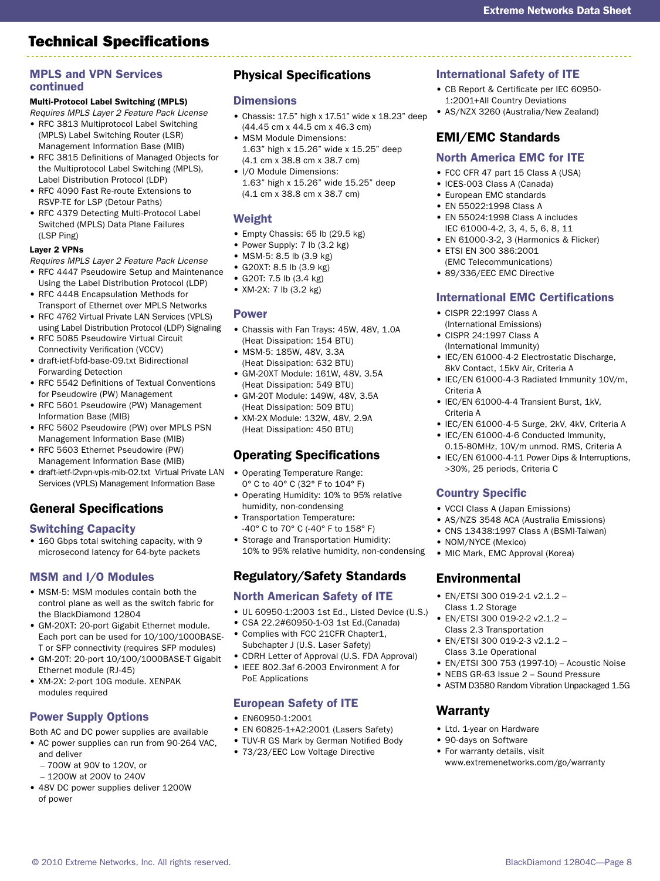#### MPLS and VPN Services continued

# Multi-Protocol Label Switching (MPLS)

*Requires MPLS Layer 2 Feature Pack License* 

- RFC 3813 Multiprotocol Label Switching (MPLS) Label Switching Router (LSR) Management Information Base (MIB)
- RFC 3815 Definitions of Managed Objects for the Multiprotocol Label Switching (MPLS), Label Distribution Protocol (LDP)
- RFC 4090 Fast Re-route Extensions to RSVP-TE for LSP (Detour Paths)
- RFC 4379 Detecting Multi-Protocol Label Switched (MPLS) Data Plane Failures (LSP Ping)

### Layer 2 VPNs

*Requires MPLS Layer 2 Feature Pack License*

- RFC 4447 Pseudowire Setup and Maintenance
- Using the Label Distribution Protocol (LDP) • RFC 4448 Encapsulation Methods for Transport of Ethernet over MPLS Networks
- RFC 4762 Virtual Private LAN Services (VPLS) using Label Distribution Protocol (LDP) Signaling
- RFC 5085 Pseudowire Virtual Circuit Connectivity Verification (VCCV)
- draft-ietf-bfd-base-09.txt Bidirectional Forwarding Detection
- RFC 5542 Definitions of Textual Conventions for Pseudowire (PW) Management
- RFC 5601 Pseudowire (PW) Management Information Base (MIB)
- RFC 5602 Pseudowire (PW) over MPLS PSN Management Information Base (MIB)
- RFC 5603 Ethernet Pseudowire (PW) Management Information Base (MIB)
- draft-ietf-l2vpn-vpls-mib-02.txt Virtual Private LAN Services (VPLS) Management Information Base

# General Specifications

## Switching Capacity

• 160 Gbps total switching capacity, with 9 microsecond latency for 64-byte packets

## MSM and I/O Modules

- MSM-5: MSM modules contain both the control plane as well as the switch fabric for the BlackDiamond 12804
- GM-20XT: 20-port Gigabit Ethernet module. Each port can be used for 10/100/1000BASE-T or SFP connectivity (requires SFP modules)
- GM-20T: 20-port 10/100/1000BASE-T Gigabit Ethernet module (RJ-45)
- XM-2X: 2-port 10G module. XENPAK modules required

# Power Supply Options

Both AC and DC power supplies are available

• AC power supplies can run from 90-264 VAC, and deliver

© 2010 Extreme Networks, Inc. All rights reserved.

- 700W at 90V to 120V, or
- 1200W at 200V to 240V
- 48V DC power supplies deliver 1200W of power

## Physical Specifications

## **Dimensions**

- Chassis: 17.5" high x 17.51" wide x 18.23" deep (44.45 cm x 44.5 cm x 46.3 cm)
- MSM Module Dimensions: 1.63" high x 15.26" wide x 15.25" deep
- (4.1 cm x 38.8 cm x 38.7 cm) • I/O Module Dimensions: 1.63" high x 15.26" wide 15.25" deep

## Weight

• Empty Chassis: 65 lb (29.5 kg)

(4.1 cm x 38.8 cm x 38.7 cm)

- Power Supply: 7 lb (3.2 kg)
- MSM-5: 8.5 lb (3.9 kg)
- G20XT: 8.5 lb (3.9 kg)
- G20T: 7.5 lb (3.4 kg)
- XM-2X: 7 lb (3.2 kg)

## Power

- Chassis with Fan Trays: 45W, 48V, 1.0A (Heat Dissipation: 154 BTU)
- MSM-5: 185W, 48V, 3.3A (Heat Dissipation: 632 BTU)
- GM-20XT Module: 161W, 48V, 3.5A (Heat Dissipation: 549 BTU)
- GM-20T Module: 149W, 48V, 3.5A (Heat Dissipation: 509 BTU)
- XM-2X Module: 132W, 48V, 2.9A (Heat Dissipation: 450 BTU)

## Operating Specifications

- Operating Temperature Range: 0° C to 40° C (32° F to 104° F)
- Operating Humidity: 10% to 95% relative humidity, non-condensing
- Transportation Temperature: -40° C to 70° C (-40° F to 158° F)
- Storage and Transportation Humidity: 10% to 95% relative humidity, non-condensing

# Regulatory/Safety Standards

## North American Safety of ITE

- UL 60950-1:2003 1st Ed., Listed Device (U.S.)
- CSA 22.2#60950-1-03 1st Ed.(Canada) • Complies with FCC 21CFR Chapter1,
- Subchapter J (U.S. Laser Safety) • CDRH Letter of Approval (U.S. FDA Approval)
- IEEE 802.3af 6-2003 Environment A for PoE Applications

## European Safety of ITE

- EN60950-1:2001
- EN 60825-1+A2:2001 (Lasers Safety)
- TUV-R GS Mark by German Notified Body
- 73/23/EEC Low Voltage Directive

## International Safety of ITE

- CB Report & Certificate per IEC 60950- 1:2001+All Country Deviations
- AS/NZX 3260 (Australia/New Zealand)

# EMI/EMC Standards

## North America EMC for ITE

- FCC CFR 47 part 15 Class A (USA)
- ICES-003 Class A (Canada)
- European EMC standards
- EN 55022:1998 Class A • EN 55024:1998 Class A includes
- IEC 61000-4-2, 3, 4, 5, 6, 8, 11 • EN 61000-3-2, 3 (Harmonics & Flicker)
- ETSI EN 300 386:2001 (EMC Telecommunications)
- 89/336/EEC EMC Directive

## International EMC Certifications

- CISPR 22:1997 Class A (International Emissions)
- CISPR 24:1997 Class A (International Immunity)
- IEC/EN 61000-4-2 Electrostatic Discharge, 8kV Contact, 15kV Air, Criteria A
- IEC/EN 61000-4-3 Radiated Immunity 10V/m, Criteria A
- IEC/EN 61000-4-4 Transient Burst, 1kV, Criteria A
- IEC/EN 61000-4-5 Surge, 2kV, 4kV, Criteria A
- IEC/EN 61000-4-6 Conducted Immunity, 0.15-80MHz, 10V/m unmod. RMS, Criteria A
- IEC/EN 61000-4-11 Power Dips & Interruptions, >30%, 25 periods, Criteria C

## Country Specific

- VCCI Class A (Japan Emissions)
- AS/NZS 3548 ACA (Australia Emissions)
- CNS 13438:1997 Class A (BSMI-Taiwan)
- NOM/NYCE (Mexico)
- MIC Mark, EMC Approval (Korea)

# Environmental

Warranty

• Ltd. 1-year on Hardware • 90-days on Software • For warranty details, visit

- EN/ETSI 300 019-2-1 v2.1.2 Class 1.2 Storage
- EN/ETSI 300 019-2-2 v2.1.2 Class 2.3 Transportation
- EN/ETSI 300 019-2-3 v2.1.2 Class 3.1e Operational • EN/ETSI 300 753 (1997-10) – Acoustic Noise

• NEBS GR-63 Issue 2 – Sound Pressure • ASTM D3580 Random Vibration Unpackaged 1.5G

www.extremenetworks.com/go/warranty

BlackDiamond 12804C—Page 8